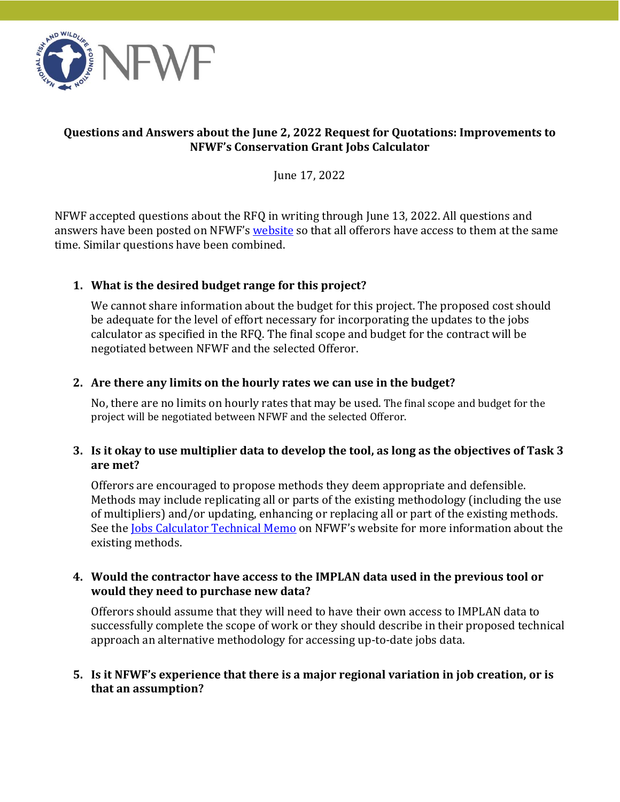

### **Questions and Answers about the June 2, 2022 Request for Quotations: Improvements to NFWF's Conservation Grant Jobs Calculator**

June 17, 2022

NFWF accepted questions about the RFQ in writing through June 13, 2022. All questions and answers have been posted on NFWF's [website](https://www.nfwf.org/request-quotations-improvements-nfwfs-conservation-grant-jobs-calculator) so that all offerors have access to them at the same time. Similar questions have been combined.

# **1. What is the desired budget range for this project?**

We cannot share information about the budget for this project. The proposed cost should be adequate for the level of effort necessary for incorporating the updates to the jobs calculator as specified in the RFQ. The final scope and budget for the contract will be negotiated between NFWF and the selected Offeror.

### **2. Are there any limits on the hourly rates we can use in the budget?**

No, there are no limits on hourly rates that may be used. The final scope and budget for the project will be negotiated between NFWF and the selected Offeror.

### **3. Is it okay to use multiplier data to develop the tool, as long as the objectives of Task 3 are met?**

Offerors are encouraged to propose methods they deem appropriate and defensible. Methods may include replicating all or parts of the existing methodology (including the use of multipliers) and/or updating, enhancing or replacing all or part of the existing methods. See the Jobs [Calculator Technical Memo](https://www.nfwf.org/sites/default/files/2022-06/Jobs%20Calculator%20Technical_Memo_20_05_05_v1.2.pdf) on NFWF's website for more information about the existing methods.

### **4. Would the contractor have access to the IMPLAN data used in the previous tool or would they need to purchase new data?**

Offerors should assume that they will need to have their own access to IMPLAN data to successfully complete the scope of work or they should describe in their proposed technical approach an alternative methodology for accessing up-to-date jobs data.

#### **5. Is it NFWF's experience that there is a major regional variation in job creation, or is that an assumption?**